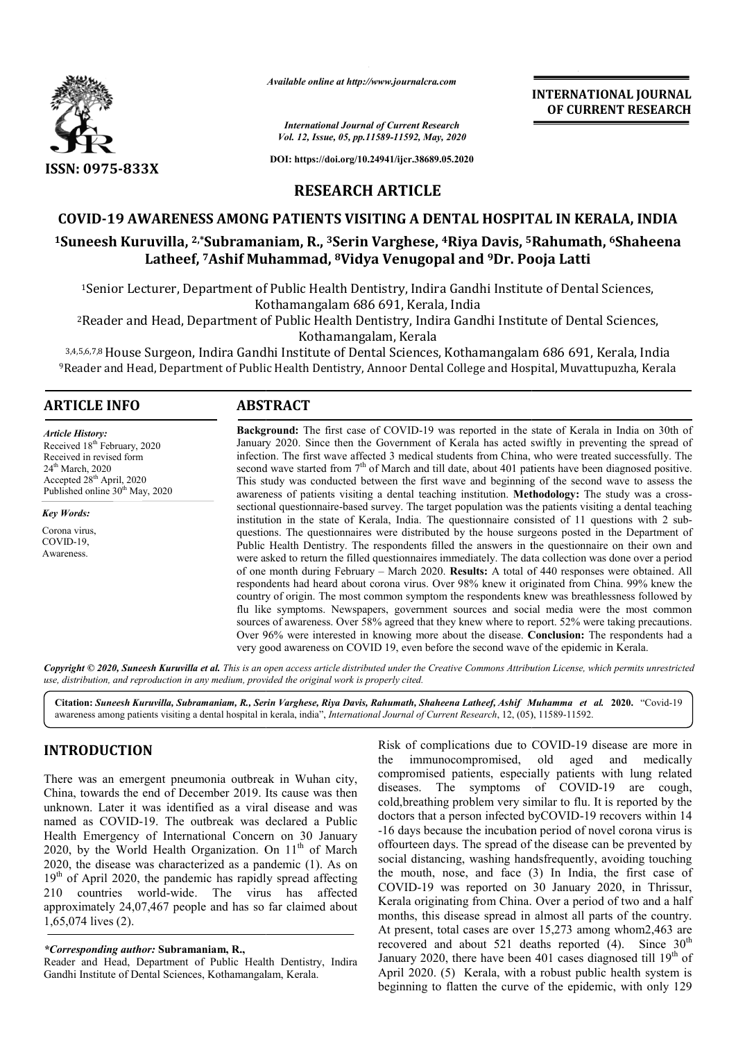

*Available online at http://www.journalcra.com*

*International Journal of Current Research Vol. 12, Issue, 05, pp.11589-11592, May, 2020*

**DOI: https://doi.org/10.24941/ijcr.38689.05.2020**

**INTERNATIONAL JOURNAL OF CURRENT RESEARCH**

**RESEARCH ARTICLE**

# **COVID-19 AWARENESS AMONG PATIENTS VISITING A DENTAL HOSPITAL IN KERALA, INDIA**

# COVID-19 AWARENESS AMONG PATIENTS VISITING A DENTAL HOSPITAL IN KERALA, INDIA<br><sup>1</sup>Suneesh Kuruvilla, <sup>2,\*</sup>Subramaniam, R., <sup>3</sup>Serin Varghese, <sup>4</sup>Riya Davis, <sup>5</sup>Rahumath, <sup>6</sup>Shaheena **Latheef, 7Ashif Muhammad, Ashif 8Vidya Venugopal and 9Dr. Pooja Latti Pooja**

<sup>1</sup>Senior Lecturer, Department of Public Health Dentistry, Indira Gandhi Institute of Dental Sciences, Kothamangalam 686 691, Kerala, India

2Reader and Head, Department of Public Health Dentistry, Indira Gandhi Institute of Dental Sciences, Reader Kothamangalam, Kerala

<sup>3,4,5,6,7,8</sup> House Surgeon, Indira Gandhi Institute of Dental Sciences, Kothamangalam 686 691, Kerala, India <sup>9</sup>Reader and Head, Department of Public Health Dentistry, Annoor Dental College and Hospital, Muvattupuzha, Kerala <sup>2</sup>Reader and Head, Department of Public Health Dentistry, Indira Gandhi Institute of Dental<br>Kothamangalam, Kerala<br><sup>3,4,5,6,7,8</sup> House Surgeon, Indira Gandhi Institute of Dental Sciences, Kothamangalam 686 691, K<br>Reader an

# **ARTICLE INFO ABSTRACT**

#### *Article History:*

Received 18<sup>th</sup> February, 2020 Received in revised form 24<sup>th</sup> March, 2020 Accepted 28<sup>th</sup> April, 2020 Published online 30<sup>th</sup> May, 2020

*Key Words:*

Corona virus, COVID-19, Awareness.

**Background:** The first case of COVID-19 was reported in the state of Kerala in India on 30th of January 2020. Since then the Government of Kerala has acted swiftly in preventing the spread of infection. The first wave affected 3 medical students from China, who were treated successfully. The second wave started from  $7<sup>th</sup>$  of March and till date, about 401 patients have been diagnosed positive. This study was conducted between the first wave and beginning of the second wave to assess the awareness of patients visiting a dental teaching institution. Methodology: The study was a crosssectional questionnaire-based survey. The target population was the patients visiting a dental teaching sectional questionnaire-based survey. The target population was the patients visiting a dental teaching institution in the state of Kerala, India. The questionnaire consisted of 11 questions with 2 subquestions. The questionnaires were distributed by the house surgeons posted in the Department of Public Health Dentistry. The respondents filled the answers in the questionnaire on their own and were asked to return the filled questionnaires immediately. The data collection was done over a period of one month during February – March 2020. **Results:** A total of 440 responses were obtained. All respondents had heard about corona virus. Over 98% knew it originated from China. 99% knew the country of origin. The most common symptom the respondents knew was breathlessness followed by flu like symptoms. Newspapers, government sources and social media were the most common sources of awareness. Over 58% agreed that they knew where to report. 52% were taking precautions. Over 96% were interested in knowing more about the disease. **Conclusion:** The respondents had a very good awareness on COVID 19, even before the second wave of the epidemic in Kerala. Background: The first case of COVID-19 was reported in the state of Kerala in India on 30th of January 2020. Since then the Government of Kerala has acted swiftly in preventing the spread of infection. The first wave affec questions. The questionnaires were distributed by the house surgeons posted in the Department of Public Health Dentistry. The respondents filled the answers in the questionnaire on their own and were asked to return the fi

Copyright © 2020, Suneesh Kuruvilla et al. This is an open access article distributed under the Creative Commons Attribution License, which permits unrestrictea *use, distribution, and reproduction in any medium, provided the original work is properly cited.*

**Citation:** *Suneesh Kuruvilla, Subramaniam, R., Serin Varghese, Riya Davis, Rahumath, Shaheena Latheef, Ashif Muhamma et al if al.* **2020.** "Covid-19 awareness among patients visiting a dental hospital in kerala, india", *International Journal of Current Research*, 12, (05), 11589-11592.

# **INTRODUCTION**

There was an emergent pneumonia outbreak in Wuhan city, China, towards the end of December 2019. Its cause was then unknown. Later it was identified as a viral disease and was named as COVID-19. The outbreak was declared a Public Health Emergency of International Concern on 30 January named as COVID-19. The outbreak was declared a Public<br>Health Emergency of International Concern on 30 January<br>2020, by the World Health Organization. On 11<sup>th</sup> of March 2020, the disease was characterized as a pandemic (1). As on  $19<sup>th</sup>$  of April 2020, the pandemic has rapidly spread affecting 210 countries world-wide. The virus has affected approximately 24,07,467 people and has so far claimed about 1,65,074 lives (2). wide. The virus has<br>people and has so far claime<br>**bramaniam, R.,**<br>nent of Public Health Dentistry<br>ciences, Kothamangalam, Kerala.

Reader and Head, Department of Public Health Dentistry, Indira Gandhi Institute of Dental Sciences, Kothamangalam, Kerala

Risk of complications due to COVID-19 disease are more in the immunocompromised, old aged and medically compromised patients, especially patients with lung related diseases. The symptoms of COVID-19 are cough, cold,breathing problem very similar to flu. It is reported by the cold, breathing problem very similar to flu. It is reported by the doctors that a person infected byCOVID-19 recovers within 14 -16 days because the incubation period of novel corona virus is offourteen days. The spread of the disease can be prevented by social distancing, washing handsfrequently, avoiding touching -16 days because the incubation period of novel corona virus is offourteen days. The spread of the disease can be prevented by social distancing, washing handsfrequently, avoiding touching the mouth, nose, and face (3) In COVID-19 was reported on 30 January 2020, in Thrissur, COVID-19 was reported on 30 January 2020, in Thrissur, Kerala originating from China. Over a period of two and a half months, this disease spread in almost all parts of the country. At present, total cases are over 15,273 among whom2,463 are months, this disease spread in almost all parts of the country.<br>At present, total cases are over 15,273 among whom2,463 are<br>recovered and about 521 deaths reported (4). Since  $30^{\text{th}}$ January 2020, there have been 401 cases diagnosed till 19<sup>th</sup> of April 2020. (5) Kerala, with a robust public health system is beginning to flatten the curve of the epidemic, with only 129 INTERNATIONAL JOURNAL<br>
INTERNATIONAL JOURNAL<br>
CO CURRENT RESEARCH<br>
We *High-38689.08.2020*<br>
2020. COVIDENTAL HOSPITAL IN KERALA, INDIA<br>
Yaryi.<sup>2022</sup><br>
2021. PUBIC GADENTAL HOSPITAL IN KERALA, INDIA<br>
Yaryi.<sup>2022</sup><br>
2021. PUGG

*<sup>\*</sup>Corresponding author:* **Subramaniam, R.,**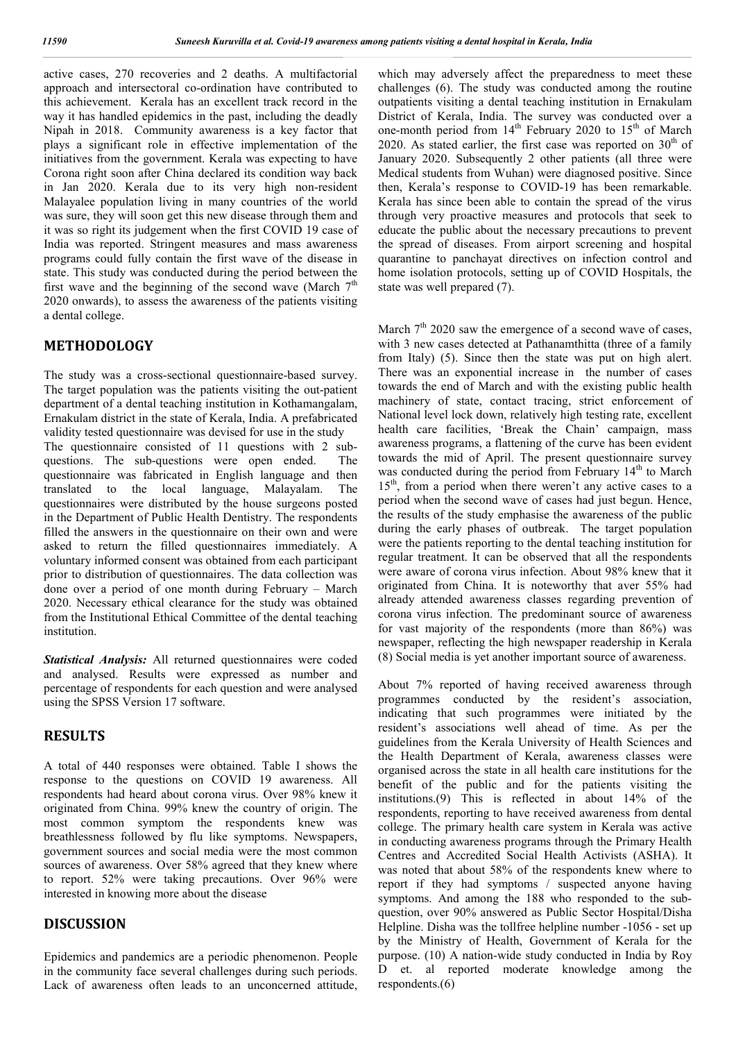active cases, 270 recoveries and 2 deaths. A multifactorial approach and intersectoral co-ordination have contributed to this achievement. Kerala has an excellent track record in the way it has handled epidemics in the past, including the deadly Nipah in 2018. Community awareness is a key factor that plays a significant role in effective implementation of the initiatives from the government. Kerala was expecting to have Corona right soon after China declared its condition way back in Jan 2020. Kerala due to its very high non-resident Malayalee population living in many countries of the world was sure, they will soon get this new disease through them and it was so right its judgement when the first COVID 19 case of India was reported. Stringent measures and mass awareness programs could fully contain the first wave of the disease in state. This study was conducted during the period between the first wave and the beginning of the second wave (March  $7<sup>th</sup>$ 2020 onwards), to assess the awareness of the patients visiting a dental college.

#### **METHODOLOGY**

The study was a cross-sectional questionnaire-based survey. The target population was the patients visiting the out-patient department of a dental teaching institution in Kothamangalam, Ernakulam district in the state of Kerala, India. A prefabricated validity tested questionnaire was devised for use in the study The questionnaire consisted of 11 questions with 2 subquestions. The sub-questions were open ended. The questionnaire was fabricated in English language and then translated to the local language, Malayalam. The questionnaires were distributed by the house surgeons posted in the Department of Public Health Dentistry. The respondents filled the answers in the questionnaire on their own and were asked to return the filled questionnaires immediately. A voluntary informed consent was obtained from each participant prior to distribution of questionnaires. The data collection was done over a period of one month during February – March 2020. Necessary ethical clearance for the study was obtained from the Institutional Ethical Committee of the dental teaching institution.

*Statistical Analysis:* All returned questionnaires were coded and analysed. Results were expressed as number and percentage of respondents for each question and were analysed using the SPSS Version 17 software.

# **RESULTS**

A total of 440 responses were obtained. Table I shows the response to the questions on COVID 19 awareness. All respondents had heard about corona virus. Over 98% knew it originated from China. 99% knew the country of origin. The most common symptom the respondents knew was breathlessness followed by flu like symptoms. Newspapers, government sources and social media were the most common sources of awareness. Over 58% agreed that they knew where to report. 52% were taking precautions. Over 96% were interested in knowing more about the disease

#### **DISCUSSION**

Epidemics and pandemics are a periodic phenomenon. People in the community face several challenges during such periods. Lack of awareness often leads to an unconcerned attitude, which may adversely affect the preparedness to meet these challenges (6). The study was conducted among the routine outpatients visiting a dental teaching institution in Ernakulam District of Kerala, India. The survey was conducted over a one-month period from  $14<sup>th</sup>$  February 2020 to  $15<sup>th</sup>$  of March 2020. As stated earlier, the first case was reported on  $30<sup>th</sup>$  of January 2020. Subsequently 2 other patients (all three were Medical students from Wuhan) were diagnosed positive. Since then, Kerala's response to COVID-19 has been remarkable. Kerala has since been able to contain the spread of the virus through very proactive measures and protocols that seek to educate the public about the necessary precautions to prevent the spread of diseases. From airport screening and hospital quarantine to panchayat directives on infection control and home isolation protocols, setting up of COVID Hospitals, the state was well prepared (7).

March  $7<sup>th</sup>$  2020 saw the emergence of a second wave of cases, with 3 new cases detected at Pathanamthitta (three of a family from Italy) (5). Since then the state was put on high alert. There was an exponential increase in the number of cases towards the end of March and with the existing public health machinery of state, contact tracing, strict enforcement of National level lock down, relatively high testing rate, excellent health care facilities, 'Break the Chain' campaign, mass awareness programs, a flattening of the curve has been evident towards the mid of April. The present questionnaire survey was conducted during the period from February  $14<sup>th</sup>$  to March 15<sup>th</sup>, from a period when there weren't any active cases to a period when the second wave of cases had just begun. Hence, the results of the study emphasise the awareness of the public during the early phases of outbreak. The target population were the patients reporting to the dental teaching institution for regular treatment. It can be observed that all the respondents were aware of corona virus infection. About 98% knew that it originated from China. It is noteworthy that aver 55% had already attended awareness classes regarding prevention of corona virus infection. The predominant source of awareness for vast majority of the respondents (more than 86%) was newspaper, reflecting the high newspaper readership in Kerala (8) Social media is yet another important source of awareness.

About 7% reported of having received awareness through programmes conducted by the resident's association, indicating that such programmes were initiated by the resident's associations well ahead of time. As per the guidelines from the Kerala University of Health Sciences and the Health Department of Kerala, awareness classes were organised across the state in all health care institutions for the benefit of the public and for the patients visiting the institutions.(9) This is reflected in about 14% of the respondents, reporting to have received awareness from dental college. The primary health care system in Kerala was active in conducting awareness programs through the Primary Health Centres and Accredited Social Health Activists (ASHA). It was noted that about 58% of the respondents knew where to report if they had symptoms / suspected anyone having symptoms. And among the 188 who responded to the subquestion, over 90% answered as Public Sector Hospital/Disha Helpline. Disha was the tollfree helpline number -1056 - set up by the Ministry of Health, Government of Kerala for the purpose. (10) A nation-wide study conducted in India by Roy D et. al reported moderate knowledge among the respondents.(6)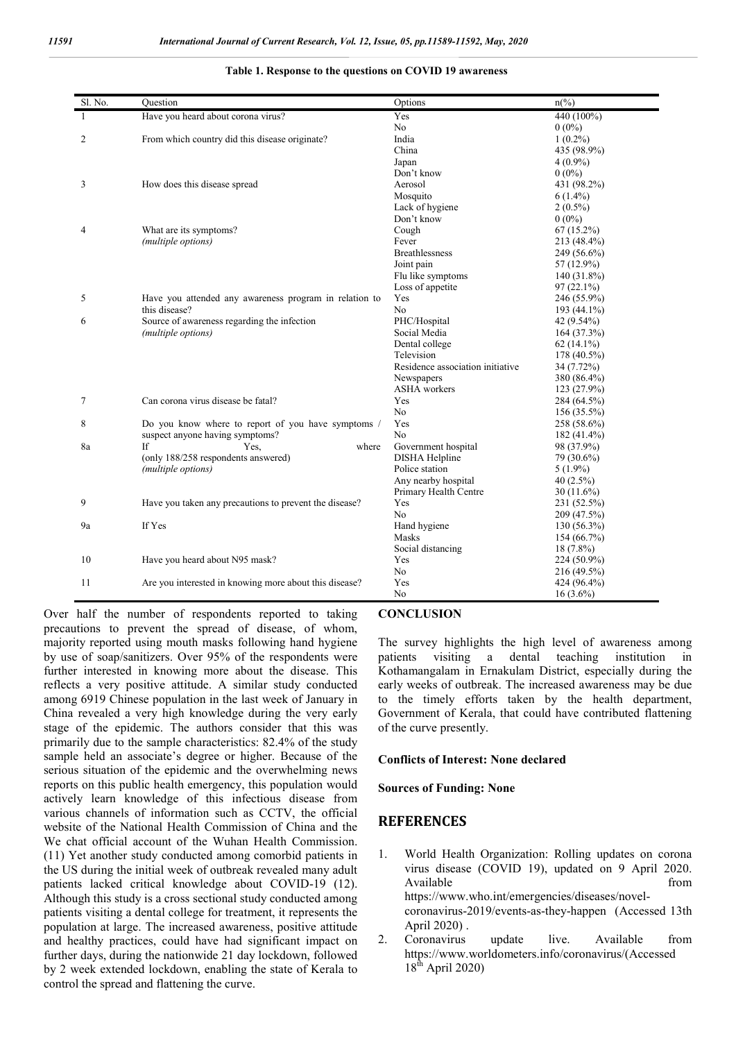| Sl. No. | Ouestion                                               | Options                          | $n\frac{6}{6}$ |
|---------|--------------------------------------------------------|----------------------------------|----------------|
| 1       | Have you heard about corona virus?                     | Yes                              | 440 (100%)     |
|         |                                                        | No                               | $0(0\%)$       |
| 2       | From which country did this disease originate?         | India                            | $1(0.2\%)$     |
|         |                                                        | China                            | 435 (98.9%)    |
|         |                                                        | Japan                            | $4(0.9\%)$     |
|         |                                                        | Don't know                       | $0(0\%)$       |
| 3       | How does this disease spread                           | Aerosol                          | 431 (98.2%)    |
|         |                                                        | Mosquito                         | $6(1.4\%)$     |
|         |                                                        | Lack of hygiene                  | $2(0.5\%)$     |
|         |                                                        | Don't know                       | $0(0\%)$       |
| 4       | What are its symptoms?                                 | Cough                            | $67(15.2\%)$   |
|         | (multiple options)                                     | Fever                            | 213 (48.4%)    |
|         |                                                        | <b>Breathlessness</b>            | 249 (56.6%)    |
|         |                                                        | Joint pain                       | 57 (12.9%)     |
|         |                                                        | Flu like symptoms                | $140(31.8\%)$  |
|         |                                                        | Loss of appetite                 | $97(22.1\%)$   |
| 5       | Have you attended any awareness program in relation to | Yes                              | 246 (55.9%)    |
|         | this disease?                                          | No.                              | 193 (44.1%)    |
| 6       | Source of awareness regarding the infection            | PHC/Hospital                     | 42 (9.54%)     |
|         | (multiple options)                                     | Social Media                     | 164(37.3%)     |
|         |                                                        | Dental college                   | $62(14.1\%)$   |
|         |                                                        | Television                       | 178 (40.5%)    |
|         |                                                        | Residence association initiative | 34 (7.72%)     |
|         |                                                        | Newspapers                       | 380 (86.4%)    |
|         |                                                        | <b>ASHA</b> workers              | 123 (27.9%)    |
| 7       | Can corona virus disease be fatal?                     | Yes                              | 284 (64.5%)    |
|         |                                                        | No.                              | 156 (35.5%)    |
| 8       | Do you know where to report of you have symptoms /     | Yes                              | 258 (58.6%)    |
|         | suspect anyone having symptoms?                        | No                               | 182 (41.4%)    |
| 8a      | If<br>Yes,<br>where                                    | Government hospital              | 98 (37.9%)     |
|         | (only 188/258 respondents answered)                    | <b>DISHA Helpline</b>            | 79 (30.6%)     |
|         | (multiple options)                                     | Police station                   | $5(1.9\%)$     |
|         |                                                        | Any nearby hospital              | $40(2.5\%)$    |
|         |                                                        | Primary Health Centre            | $30(11.6\%)$   |
| 9       | Have you taken any precautions to prevent the disease? | Yes                              | 231 (52.5%)    |
|         |                                                        | No                               | 209 (47.5%)    |
| 9a      | If Yes                                                 | Hand hygiene                     | $130(56.3\%)$  |
|         |                                                        | Masks                            | 154 (66.7%)    |
|         |                                                        | Social distancing                | $18(7.8\%)$    |
| 10      | Have you heard about N95 mask?                         | Yes                              | 224 (50.9%)    |
|         |                                                        | No                               | 216 (49.5%)    |
| 11      | Are you interested in knowing more about this disease? | Yes                              | 424 (96.4%)    |
|         |                                                        | No                               | $16(3.6\%)$    |

**Table 1. Response to the questions on COVID 19 awareness**

Over half the number of respondents reported to taking precautions to prevent the spread of disease, of whom, majority reported using mouth masks following hand hygiene by use of soap/sanitizers. Over 95% of the respondents were further interested in knowing more about the disease. This reflects a very positive attitude. A similar study conducted among 6919 Chinese population in the last week of January in China revealed a very high knowledge during the very early stage of the epidemic. The authors consider that this was primarily due to the sample characteristics: 82.4% of the study sample held an associate's degree or higher. Because of the serious situation of the epidemic and the overwhelming news reports on this public health emergency, this population would actively learn knowledge of this infectious disease from various channels of information such as CCTV, the official website of the National Health Commission of China and the We chat official account of the Wuhan Health Commission. (11) Yet another study conducted among comorbid patients in the US during the initial week of outbreak revealed many adult patients lacked critical knowledge about COVID-19 (12). Although this study is a cross sectional study conducted among patients visiting a dental college for treatment, it represents the population at large. The increased awareness, positive attitude and healthy practices, could have had significant impact on further days, during the nationwide 21 day lockdown, followed by 2 week extended lockdown, enabling the state of Kerala to control the spread and flattening the curve.

#### **CONCLUSION**

The survey highlights the high level of awareness among patients visiting a dental teaching institution in Kothamangalam in Ernakulam District, especially during the early weeks of outbreak. The increased awareness may be due to the timely efforts taken by the health department, Government of Kerala, that could have contributed flattening of the curve presently.

#### **Conflicts of Interest: None declared**

**Sources of Funding: None**

# **REFERENCES**

- 1. World Health Organization: Rolling updates on corona virus disease (COVID 19), updated on 9 April 2020. Available from the from the state of  $\sim$  from the state of  $\sim$  from the state of  $\sim$  from the state of  $\sim$  from the state of  $\sim$  from the state of  $\sim$  from the state of  $\sim$  from the state of  $\sim$  from the state of https://www.who.int/emergencies/diseases/novelcoronavirus-2019/events-as-they-happen (Accessed 13th April 2020) . 2. Coronavirus update live. Available from
- https://www.worldometers.info/coronavirus/(Accessed  $18<sup>th</sup>$  April 2020)